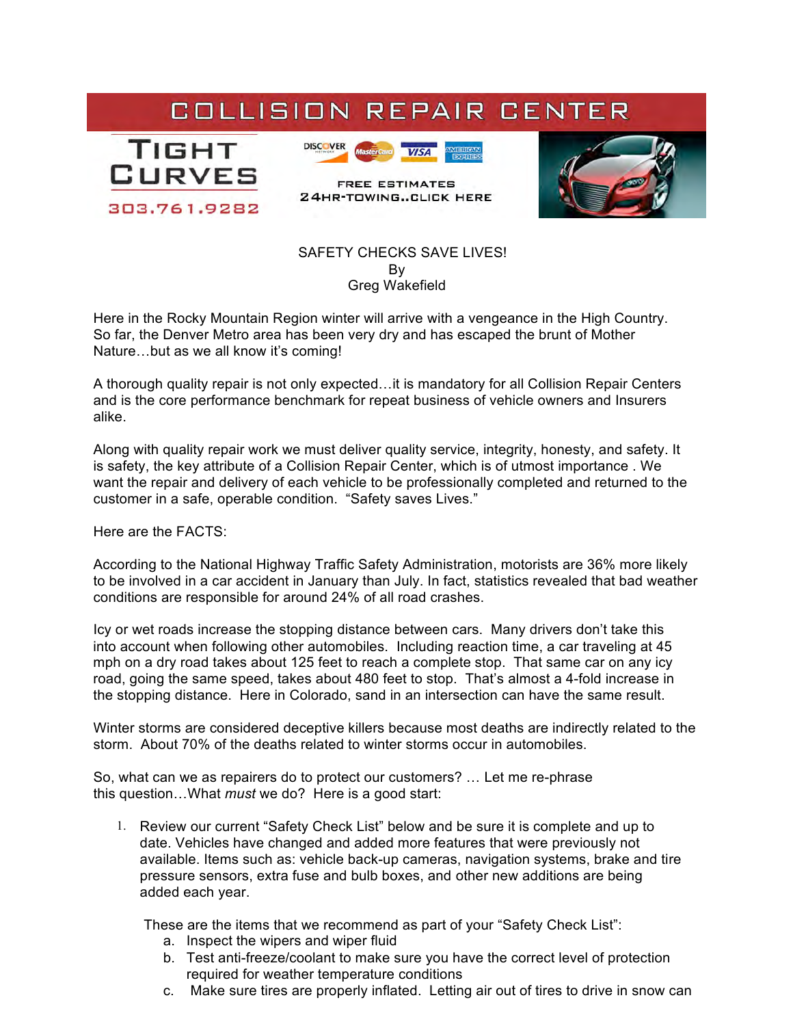## COLLISION REPAIR CENTER





**FREE ESTIMATES 24HR-TOWING..CLICK HERE** 



 SAFETY CHECKS SAVE LIVES! By Greg Wakefield

Here in the Rocky Mountain Region winter will arrive with a vengeance in the High Country. So far, the Denver Metro area has been very dry and has escaped the brunt of Mother Nature…but as we all know it's coming!

A thorough quality repair is not only expected…it is mandatory for all Collision Repair Centers and is the core performance benchmark for repeat business of vehicle owners and Insurers alike.

Along with quality repair work we must deliver quality service, integrity, honesty, and safety. It is safety, the key attribute of a Collision Repair Center, which is of utmost importance . We want the repair and delivery of each vehicle to be professionally completed and returned to the customer in a safe, operable condition. "Safety saves Lives."

Here are the FACTS:

According to the National Highway Traffic Safety Administration, motorists are 36% more likely to be involved in a car accident in January than July. In fact, statistics revealed that bad weather conditions are responsible for around 24% of all road crashes.

Icy or wet roads increase the stopping distance between cars. Many drivers don't take this into account when following other automobiles. Including reaction time, a car traveling at 45 mph on a dry road takes about 125 feet to reach a complete stop. That same car on any icy road, going the same speed, takes about 480 feet to stop. That's almost a 4-fold increase in the stopping distance. Here in Colorado, sand in an intersection can have the same result.

Winter storms are considered deceptive killers because most deaths are indirectly related to the storm. About 70% of the deaths related to winter storms occur in automobiles.

So, what can we as repairers do to protect our customers? … Let me re-phrase this question…What *must* we do? Here is a good start:

1. Review our current "Safety Check List" below and be sure it is complete and up to date. Vehicles have changed and added more features that were previously not available. Items such as: vehicle back-up cameras, navigation systems, brake and tire pressure sensors, extra fuse and bulb boxes, and other new additions are being added each year.

These are the items that we recommend as part of your "Safety Check List":

- a. Inspect the wipers and wiper fluid
- b. Test anti-freeze/coolant to make sure you have the correct level of protection required for weather temperature conditions
- c. Make sure tires are properly inflated. Letting air out of tires to drive in snow can